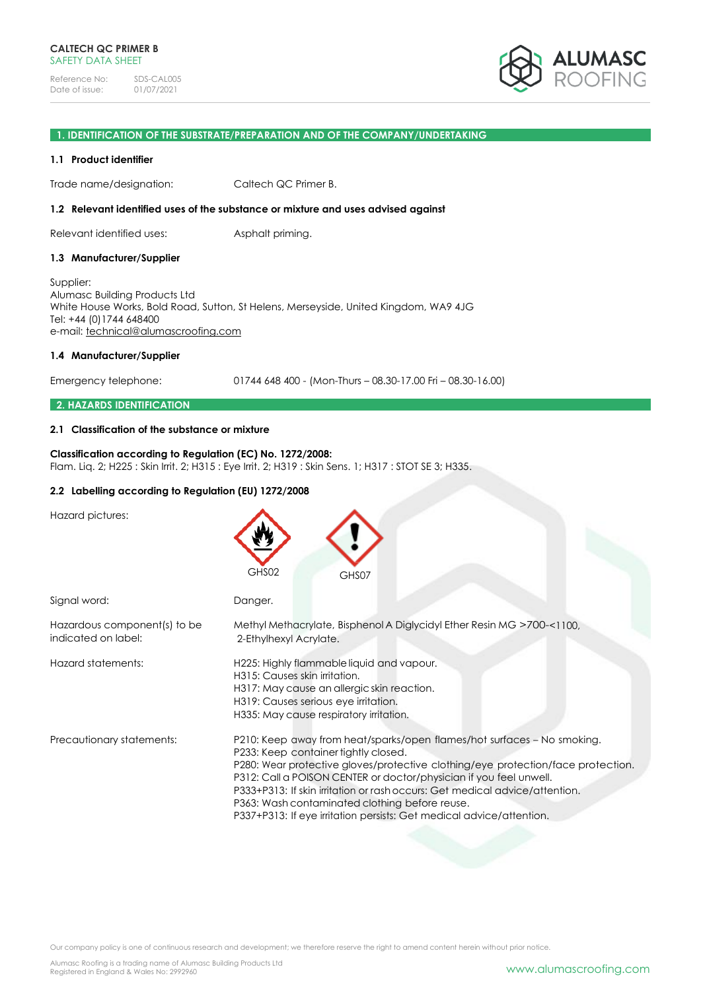

## **1. IDENTIFICATION OF THE SUBSTRATE/PREPARATION AND OF THE COMPANY/UNDERTAKING**

#### **1.1 Product identifier**

Trade name/designation: Caltech QC Primer B.

#### **1.2 Relevant identified uses of the substance or mixture and uses advised against**

Relevant identified uses: Asphalt priming.

#### **1.3 Manufacturer/Supplier**

Supplier: Alumasc Building Products Ltd White House Works, Bold Road, Sutton, St Helens, Merseyside, United Kingdom, WA9 4JG Tel: +44 (0)1744 648400 e-mail: [technical@alumascroofing.com](mailto:technical@alumascroofing.com)

#### **1.4 Manufacturer/Supplier**

Emergency telephone: 01744 648 400 - (Mon-Thurs – 08.30-17.00 Fri – 08.30-16.00)

# **2. HAZARDS IDENTIFICATION**

#### **2.1 Classification of the substance or mixture**

**Classification according to Regulation (EC) No. 1272/2008:** Flam. Liq. 2; H225 : Skin Irrit. 2; H315 : Eye Irrit. 2; H319 : Skin Sens. 1; H317 : STOT SE 3; H335.

## **2.2 Labelling according to Regulation (EU) 1272/2008**

Hazard pictures:

|                                                     | GHS02<br>GHS07                                                                                                                                                                                                                                                                                                                                                                                                                                                                     |
|-----------------------------------------------------|------------------------------------------------------------------------------------------------------------------------------------------------------------------------------------------------------------------------------------------------------------------------------------------------------------------------------------------------------------------------------------------------------------------------------------------------------------------------------------|
| Signal word:                                        | Danger.                                                                                                                                                                                                                                                                                                                                                                                                                                                                            |
| Hazardous component(s) to be<br>indicated on label: | Methyl Methacrylate, Bisphenol A Diglycidyl Ether Resin MG >700-<1100,<br>2-Ethylhexyl Acrylate.                                                                                                                                                                                                                                                                                                                                                                                   |
| Hazard statements:                                  | H225: Highly flammable liquid and vapour.<br>H315: Causes skin irritation.<br>H317: May cause an allergic skin reaction.<br>H319: Causes serious eye irritation.<br>H335: May cause respiratory irritation.                                                                                                                                                                                                                                                                        |
| Precautionary statements:                           | P210: Keep away from heat/sparks/open flames/hot surfaces - No smoking.<br>P233: Keep container tightly closed.<br>P280: Wear protective gloves/protective clothing/eye protection/face protection.<br>P312: Call a POISON CENTER or doctor/physician if you feel unwell.<br>P333+P313: If skin irritation or rash occurs: Get medical advice/attention.<br>P363: Wash contaminated clothing before reuse.<br>P337+P313: If eye irritation persists: Get medical advice/attention. |

Our company policy is one of continuous research and development; we therefore reserve the right to amend content herein without prior notice.

Alumasc Roofing is a trading name of Alumasc Building Products Ltd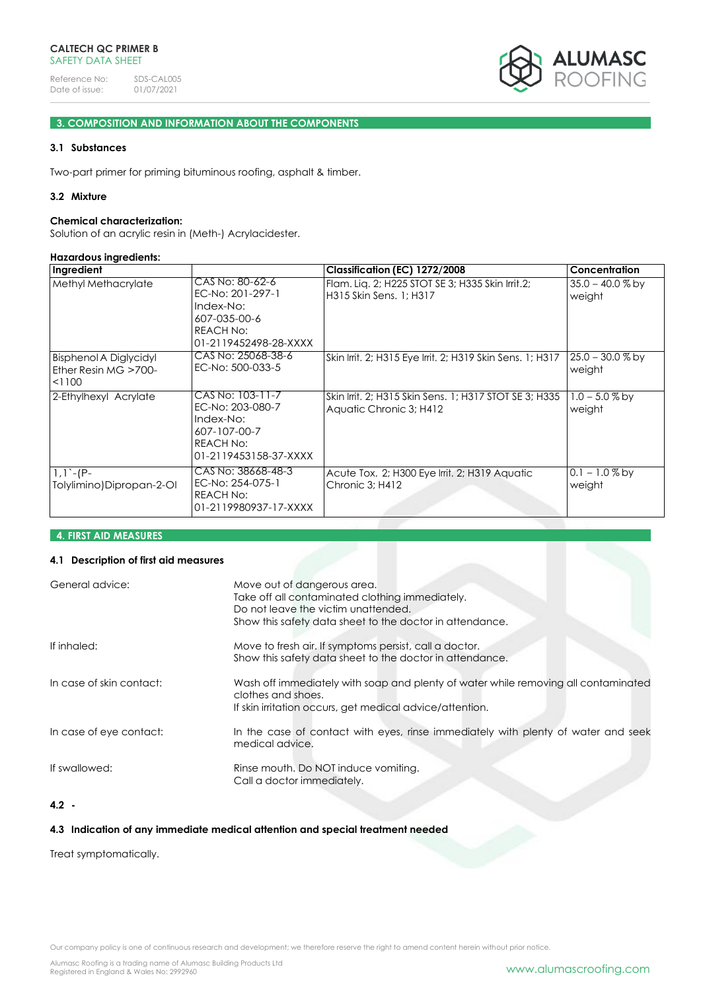

# **3. COMPOSITION AND INFORMATION ABOUT THE COMPONENTS**

# **3.1 Substances**

Two-part primer for priming bituminous roofing, asphalt & timber.

# **3.2 Mixture**

#### **Chemical characterization:**

Solution of an acrylic resin in (Meth-) Acrylacidester.

#### **Hazardous ingredients:**

| Ingredient                                                         |                                                                                                         | Classification (EC) 1272/2008                                                     | Concentration                |
|--------------------------------------------------------------------|---------------------------------------------------------------------------------------------------------|-----------------------------------------------------------------------------------|------------------------------|
| Methyl Methacrylate                                                | CAS No: 80-62-6<br>EC-No: 201-297-1<br>Index-No:<br>607-035-00-6<br>REACH No:<br>01-2119452498-28-XXXX  | Flam. Lig. 2; H225 STOT SE 3; H335 Skin Irrit.2;<br>H315 Skin Sens. 1: H317       | $35.0 - 40.0 %$ by<br>weight |
| <b>Bisphenol A Diglycidyl</b><br>Ether Resin $MG > 700-$<br>< 1100 | CAS No: 25068-38-6<br>EC-No: 500-033-5                                                                  | Skin Irrit. 2; H315 Eye Irrit. 2; H319 Skin Sens. 1; H317                         | $25.0 - 30.0 %$ by<br>weight |
| 2-Ethylhexyl Acrylate                                              | CAS No: 103-11-7<br>EC-No: 203-080-7<br>Index-No:<br>607-107-00-7<br>REACH No:<br>01-2119453158-37-XXXX | Skin Irrit. 2; H315 Skin Sens. 1; H317 STOT SE 3; H335<br>Aquatic Chronic 3; H412 | $1.0 - 5.0 %$ by<br>weight   |
| $1,1$ -(P-<br>Tolylimino)Dipropan-2-Ol                             | CAS No: 38668-48-3<br>EC-No: 254-075-1<br>REACH No:<br>01-2119980937-17-XXXX                            | Acute Tox. 2; H300 Eye Irrit. 2; H319 Aquatic<br>Chronic 3; H412                  | $0.1 - 1.0\%$ by<br>weight   |

# **4. FIRST AID MEASURES**

# **4.1 Description of first aid measures**

| General advice:          | Move out of dangerous area.<br>Take off all contaminated clothing immediately.<br>Do not leave the victim unattended.<br>Show this safety data sheet to the doctor in attendance. |
|--------------------------|-----------------------------------------------------------------------------------------------------------------------------------------------------------------------------------|
| If inhaled:              | Move to fresh air. If symptoms persist, call a doctor.<br>Show this safety data sheet to the doctor in attendance.                                                                |
| In case of skin contact: | Wash off immediately with soap and plenty of water while removing all contaminated<br>clothes and shoes.<br>If skin irritation occurs, get medical advice/attention.              |
| In case of eye contact:  | In the case of contact with eyes, rinse immediately with plenty of water and seek<br>medical advice.                                                                              |
| If swallowed:            | Rinse mouth. Do NOT induce vomiting.<br>Call a doctor immediately.                                                                                                                |

# **4.2 -**

# **4.3 Indication of any immediate medical attention and special treatment needed**

Treat symptomatically.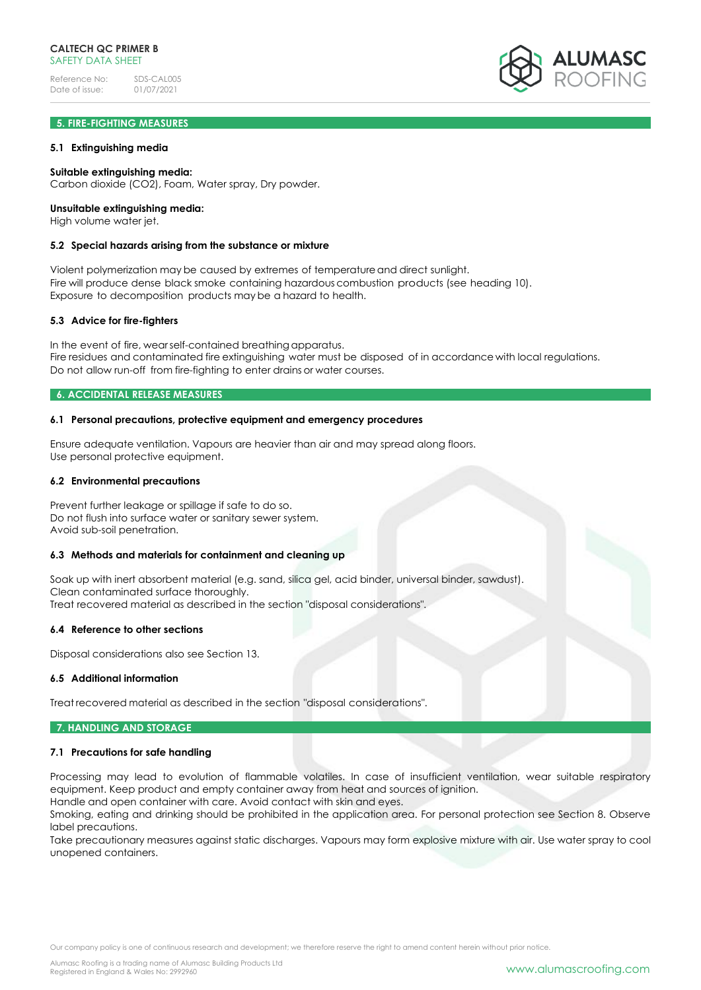# **5. FIRE-FIGHTING MEASURES**

## **5.1 Extinguishing media**

## **Suitable extinguishing media:**

Carbon dioxide (CO2), Foam, Water spray, Dry powder.

# **Unsuitable extinguishing media:**

High volume water jet.

#### **5.2 Special hazards arising from the substance or mixture**

Violent polymerization may be caused by extremes of temperatureand direct sunlight. Fire will produce dense black smoke containing hazardous combustion products (see heading 10). Exposure to decomposition products may be a hazard to health.

## **5.3 Advice for fire-fighters**

In the event of fire, wearself-contained breathing apparatus. Fire residues and contaminated fire extinguishing water must be disposed of in accordance with local regulations. Do not allow run-off from fire-fighting to enter drains or water courses.

# **6. ACCIDENTAL RELEASE MEASURES**

## **6.1 Personal precautions, protective equipment and emergency procedures**

Ensure adequate ventilation. Vapours are heavier than air and may spread along floors. Use personal protective equipment.

#### **6.2 Environmental precautions**

Prevent further leakage or spillage if safe to do so. Do not flush into surface water or sanitary sewer system. Avoid sub-soil penetration.

## **6.3 Methods and materials for containment and cleaning up**

Soak up with inert absorbent material (e.g. sand, silica gel, acid binder, universal binder, sawdust). Clean contaminated surface thoroughly. Treat recovered material as described in the section "disposal considerations".

#### **6.4 Reference to other sections**

Disposal considerations also see Section 13.

## **6.5 Additional information**

Treat recovered material as described in the section "disposal considerations".

## **7. HANDLING AND STORAGE**

#### **7.1 Precautions for safe handling**

Processing may lead to evolution of flammable volatiles. In case of insufficient ventilation, wear suitable respiratory equipment. Keep product and empty container away from heat and sources of ignition. Handle and open container with care. Avoid contact with skin and eyes.

Smoking, eating and drinking should be prohibited in the application area. For personal protection see Section 8. Observe label precautions.

Take precautionary measures against static discharges. Vapours may form explosive mixture with air. Use water spray to cool unopened containers.

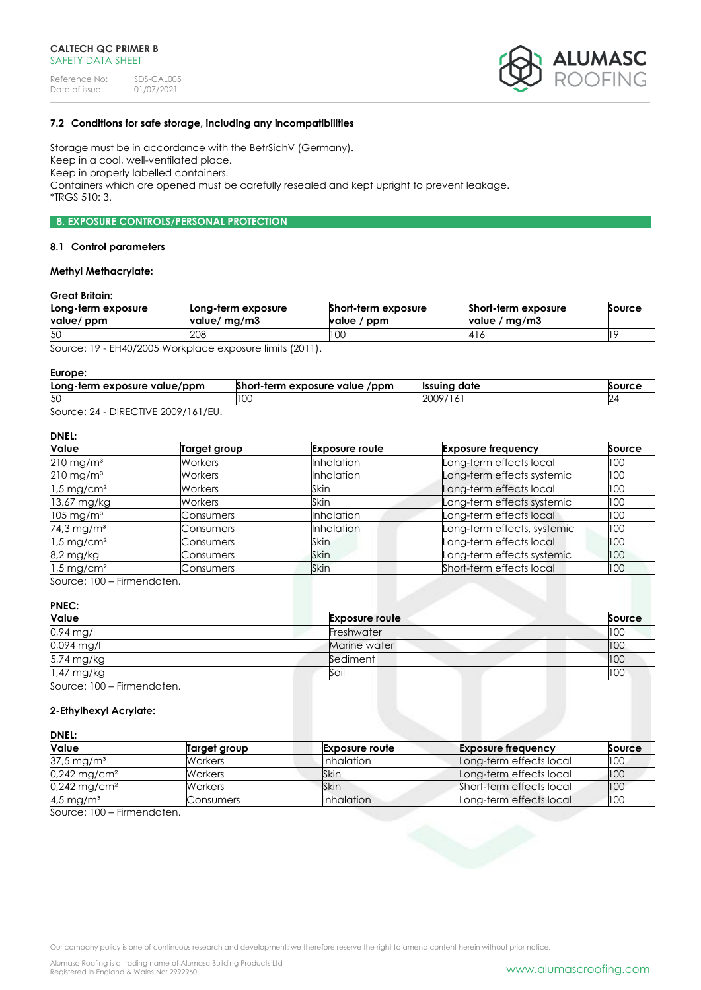

# **7.2 Conditions for safe storage, including any incompatibilities**

Storage must be in accordance with the BetrSichV (Germany). Keep in a cool, well-ventilated place. Keep in properly labelled containers. Containers which are opened must be carefully resealed and kept upright to prevent leakage. \*TRGS 510: 3.

# **8. EXPOSURE CONTROLS/PERSONAL PROTECTION**

#### **8.1 Control parameters**

# **Methyl Methacrylate:**

# **Great Britain:**

| Long-term exposure<br>value/ ppm | Long-term exposure<br>value/ mg/m3 | Short-term exposure<br>value / ppm | Short-term exposure<br>value / mg/m3 | Source |
|----------------------------------|------------------------------------|------------------------------------|--------------------------------------|--------|
| 50                               | 208                                | I UU                               | 416                                  |        |

Source: 19 - EH40/2005 Workplace exposure limits (2011).

#### **Europe:**

| Long-term exposure value/ppm | Short-term exposure value<br>/ppm | <sup>.</sup> date<br><b>Ilssuina</b> | Source |
|------------------------------|-----------------------------------|--------------------------------------|--------|
| 50                           | LU.                               | 2009<br>197<br>.                     |        |
| $DIDFCTHIF$ $000011111$      |                                   |                                      |        |

Source: 24 - DIRECTIVE 2009/161/EU.

# **DNEL:**

| <b>Value</b>             | Target group   | <b>Exposure route</b> | <b>Exposure frequency</b>   | Source |
|--------------------------|----------------|-----------------------|-----------------------------|--------|
| $210 \,\mathrm{mg/m^3}$  | Workers        | <b>Inhalation</b>     | Long-term effects local     | 100    |
| $210$ mg/m <sup>3</sup>  | Workers        | <b>Inhalation</b>     | Long-term effects systemic  | 100    |
| $1.5 \,\mathrm{mg/cm^2}$ | <b>Workers</b> | Skin                  | Long-term effects local     | 100    |
| 13,67 mg/kg              | Workers        | <b>Skin</b>           | Long-term effects systemic  | 100    |
| $105 \,\mathrm{mg/m^3}$  | Consumers      | <b>Inhalation</b>     | Long-term effects local     | 100    |
| 74,3 mg/m <sup>3</sup>   | Consumers      | Inhalation            | Long-term effects, systemic | 100    |
| $1.5 \,\mathrm{mg/cm^2}$ | Consumers      | Skin                  | Long-term effects local     | 100    |
| 8,2 mg/kg                | Consumers      | <b>Skin</b>           | Long-term effects systemic  | 100    |
| $1.5$ mg/cm <sup>2</sup> | Consumers      | <b>Skin</b>           | Short-term effects local    | 100    |

Source: 100 – Firmendaten.

# **PNEC:**

| Value                      | <b>Exposure route</b> | Source |
|----------------------------|-----------------------|--------|
| $0.94$ mg/l                | Freshwater            | 100    |
| 0,094 mg/l                 | Marine water          | 100    |
| 5,74 mg/kg                 | Sediment              | 100    |
| 1,47 mg/kg                 | Soil                  | 100    |
| Source: 100 – Firmendaten. |                       |        |

# **2-Ethylhexyl Acrylate:**

#### **DNEL:**

| <b>Value</b>               | Target group   | <b>Exposure route</b> | <b>Exposure frequency</b> | Source |
|----------------------------|----------------|-----------------------|---------------------------|--------|
| $37.5 \,\mathrm{mg/m^3}$   | <b>Workers</b> | <b>Inhalation</b>     | Long-term effects local   | 100    |
| $0,242$ mg/cm <sup>2</sup> | Workers        | Skin                  | Long-term effects local   | 100    |
| $0,242 \,\mathrm{mg/cm^2}$ | <b>Workers</b> | <b>Skin</b>           | Short-term effects local  | 100    |
| $4.5 \,\mathrm{mg/m^3}$    | Consumers      | <b>Inhalation</b>     | Long-term effects local   | 100    |

Source: 100 – Firmendaten.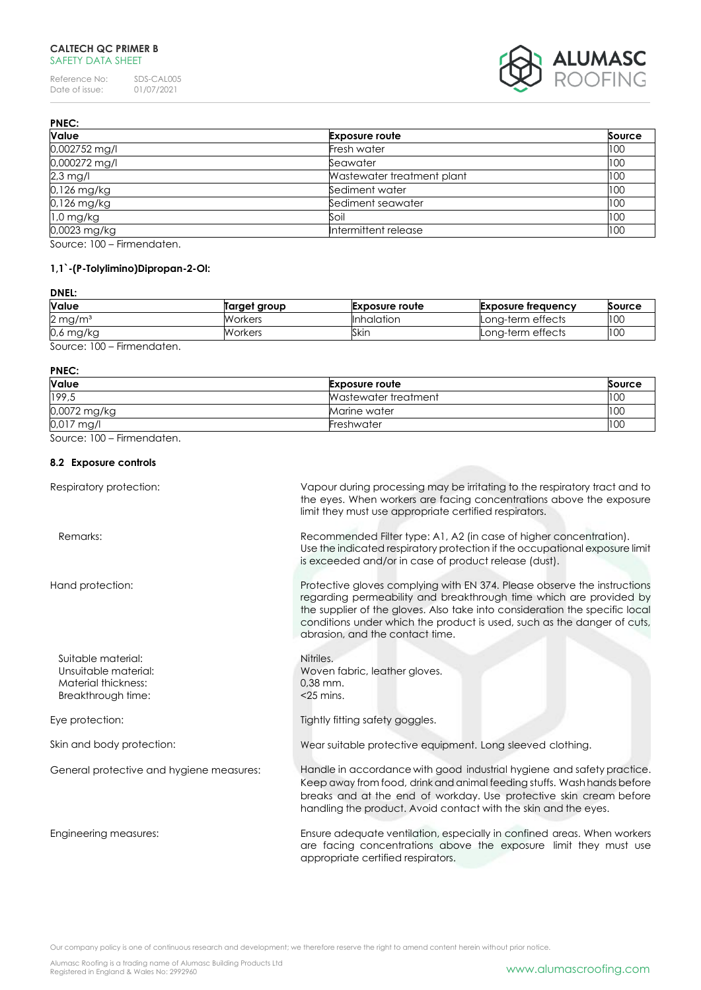# **CALTECH QC PRIMER B** SAFETY DATA SHEET

Reference No: SDS-CAL005<br>Date of issue: 01/07/2021 Date of issue:



| <b>PNEC:</b>            |                            |        |
|-------------------------|----------------------------|--------|
| Value                   | <b>Exposure route</b>      | Source |
| 0,002752 mg/l           | Fresh water                | 100    |
| 0,000272 mg/l           | Seawater                   | 100    |
| $2,3$ mg/l              | Wastewater treatment plant | 100    |
| 0,126 mg/kg             | Sediment water             | 100    |
| 0,126 mg/kg             | Sediment seawater          | 100    |
| $1,0$ mg/kg             | Soil                       | 100    |
| 0,0023 mg/kg            | Intermittent release       | 100    |
| $0.100$ $0.100$ $0.100$ |                            |        |

Source: 100 – Firmendaten.

# **1,1`-(P-Tolylimino)Dipropan-2-Ol:**

# **DNEL:**

| <b>Value</b>                         | Target group | <b>Exposure route</b> | Exposure frequency | Source |
|--------------------------------------|--------------|-----------------------|--------------------|--------|
| $2 \,\mathrm{mg/m^3}$                | Workers      | <b>Inhalation</b>     | Long-term effects  | 100    |
| 0,6 mg/kg                            | Workers      | Skin                  | Long-term effects  | 100    |
| 0.100<br>المراجلة والمراجع والمستلاح |              |                       |                    |        |

Source: 100 – Firmendaten.

#### **PNEC:**

| <b>Value</b> | <b>Exposure route</b> | Source |
|--------------|-----------------------|--------|
| 199,5        | Wastewater treatment  | 100    |
| 0,0072 mg/kg | Marine water          | 100    |
| 0,017 mg/l   | Freshwater            | 100    |

Source: 100 – Firmendaten.

# **8.2 Exposure controls**

| Respiratory protection:                                                                 | Vapour during processing may be irritating to the respiratory tract and to<br>the eyes. When workers are facing concentrations above the exposure<br>limit they must use appropriate certified respirators.                                                                                                                                 |
|-----------------------------------------------------------------------------------------|---------------------------------------------------------------------------------------------------------------------------------------------------------------------------------------------------------------------------------------------------------------------------------------------------------------------------------------------|
| Remarks:                                                                                | Recommended Filter type: A1, A2 (in case of higher concentration).<br>Use the indicated respiratory protection if the occupational exposure limit<br>is exceeded and/or in case of product release (dust).                                                                                                                                  |
| Hand protection:                                                                        | Protective gloves complying with EN 374. Please observe the instructions<br>regarding permeability and breakthrough time which are provided by<br>the supplier of the gloves. Also take into consideration the specific local<br>conditions under which the product is used, such as the danger of cuts,<br>abrasion, and the contact time. |
| Suitable material:<br>Unsuitable material:<br>Material thickness:<br>Breakthrough time: | Nitriles.<br>Woven fabric, leather gloves.<br>$0.38$ mm.<br>$<$ 25 mins.                                                                                                                                                                                                                                                                    |
| Eye protection:                                                                         | Tightly fitting safety goggles.                                                                                                                                                                                                                                                                                                             |
| Skin and body protection:                                                               | Wear suitable protective equipment. Long sleeved clothing.                                                                                                                                                                                                                                                                                  |
| General protective and hygiene measures:                                                | Handle in accordance with good industrial hygiene and safety practice.<br>Keep away from food, drink and animal feeding stuffs. Wash hands before<br>breaks and at the end of workday. Use protective skin cream before<br>handling the product. Avoid contact with the skin and the eyes.                                                  |
| Engineering measures:                                                                   | Ensure adequate ventilation, especially in confined areas. When workers<br>are facing concentrations above the exposure limit they must use<br>appropriate certified respirators.                                                                                                                                                           |

Our company policy is one of continuous research and development; we therefore reserve the right to amend content herein without prior notice.

Alumasc Roofing is a trading name of Alumasc Building Products Ltd<br>Registered in England & Wales No: 2992960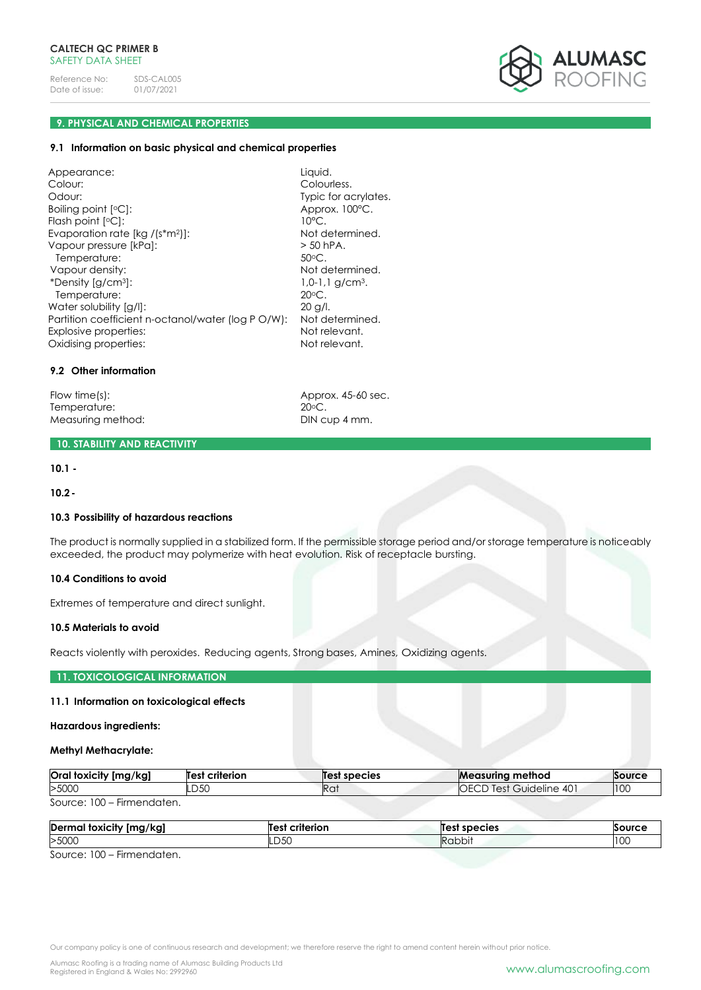

# **9. PHYSICAL AND CHEMICAL PROPERTIES**

#### **9.1 Information on basic physical and chemical properties**

Appearance: Liquid. Colour: Colourless. Odour: Typic for acrylates. Boiling point [°C]: Approx. 100°C. Flash point [°C]: 10°C. Evaporation rate [kg /(s\*m<sup>2</sup>]]: Not determined. Vapour pressure [kPa]:  $>$  50 hPA. Temperature: 50°C. Vapour density: Not determined.<br>
\*Density [g/cm<sup>3</sup>]: Not determined.<br>
1,0-1,1 g/cm<sup>3</sup>. \*Density [g/cm<sup>3</sup>]: Temperature: 20<sup>o</sup>C. Water solubility [a/l]: 20 g/l. Partition coefficient n-octanol/water (log P O/W): Not determined. Explosive properties: Not relevant.<br>
Explosive properties: Not relevant.<br>
Not relevant. Oxidising properties:

# **9.2 Other information**

Flow time(s):<br>
Temperature:<br>
20°C.<br>
20°C. Temperature: Measuring method: DIN cup 4 mm.

# **10. STABILITY AND REACTIVITY**

**10.1 -**

**10.2-**

## **10.3 Possibility of hazardous reactions**

The product is normally supplied in a stabilized form. If the permissible storage period and/or storage temperature is noticeably exceeded, the product may polymerize with heat evolution. Risk of receptacle bursting.

# **10.4 Conditions to avoid**

Extremes of temperature and direct sunlight.

## **10.5 Materials to avoid**

Reacts violently with peroxides. Reducing agents, Strong bases, Amines, Oxidizing agents.

## **11. TOXICOLOGICAL INFORMATION**

#### **11.1 Information on toxicological effects**

## **Hazardous ingredients:**

#### **Methyl Methacrylate:**

| Oral toxicity [mg/kg]             | <b>Test criterion</b> | Test species | <b>Measuring method</b>         | Source |
|-----------------------------------|-----------------------|--------------|---------------------------------|--------|
| >500C                             | .D50                  | Ra:          | <b>IOECD Test Guideline 401</b> | 100    |
| Source: $100 -$<br>- Firmendaten. |                       |              |                                 |        |

| Dern<br>/kgj<br>al toxicity [mg, | Test<br>criterion | species | SOUTE     |
|----------------------------------|-------------------|---------|-----------|
| >5000                            | LD50              | :appi   | n<br>טטו. |
|                                  |                   |         |           |

Source: 100 – Firmendaten.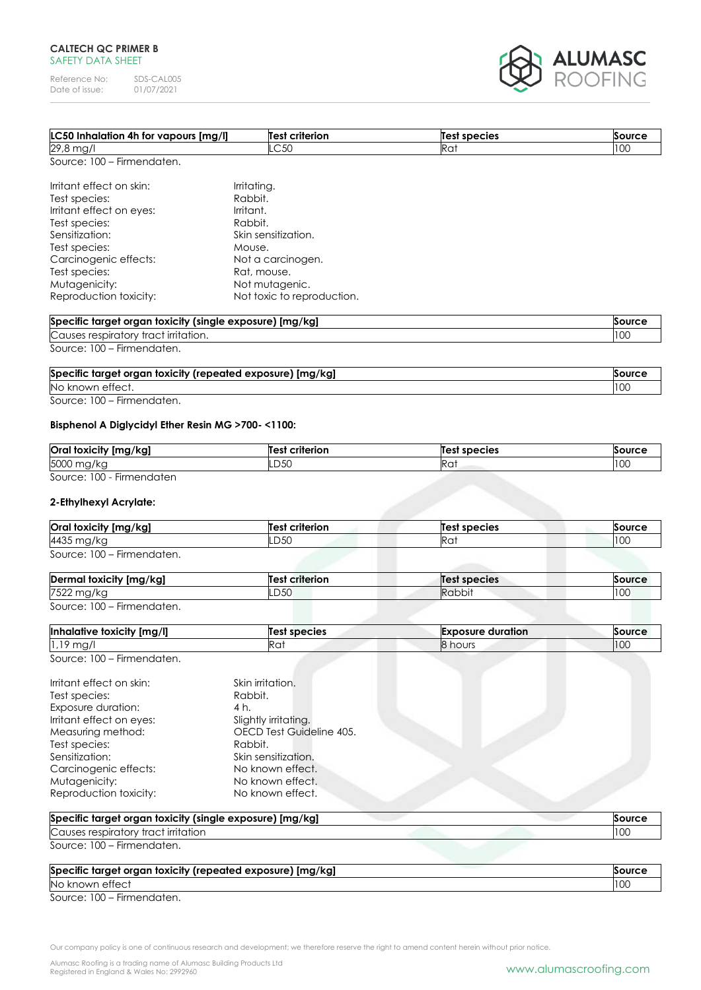# **CALTECH QC PRIMER B** SAFETY DATA SHEET

Reference No: SDS-CAL005<br>Date of issue: 01/07/2021 Date of issue:



| LC50 Inhalation 4h for vapours [mg/l]                    | Test criterion             | Test species | Source        |
|----------------------------------------------------------|----------------------------|--------------|---------------|
| 29,8 mg/l                                                | LC50                       | Rat          | 100           |
| Source: 100 - Firmendaten.                               |                            |              |               |
| Irritant effect on skin:                                 | Irritating.                |              |               |
| Test species:                                            | Rabbit.                    |              |               |
| Irritant effect on eyes:                                 | Irritant.                  |              |               |
| Test species:                                            | Rabbit.                    |              |               |
| Sensitization:                                           | Skin sensitization.        |              |               |
| Test species:                                            | Mouse.                     |              |               |
| Carcinogenic effects:                                    | Not a carcinogen.          |              |               |
| Test species:                                            | Rat, mouse.                |              |               |
| Mutagenicity:                                            | Not mutagenic.             |              |               |
| Reproduction toxicity:                                   | Not toxic to reproduction. |              |               |
| Specific target organ toxicity (single exposure) [mg/kg] |                            |              | <b>Source</b> |
| Causes respiratory tract irritation.                     |                            |              | 100           |
| Source: 100 - Firmendaten.                               |                            |              |               |

| Specific target organ toxicity (repeated exposure) [mg/kg] | Source      |
|------------------------------------------------------------|-------------|
| No known effect.                                           | 100<br>טער. |

Source: 100 – Firmendaten.

# **Bisphenol A Diglycidyl Ether Resin MG >700- <1100:**

| Oral toxicity [mg/kg]     | <b>Test criterion</b> | Test species             | Source |
|---------------------------|-----------------------|--------------------------|--------|
| 5000 mg/kg                | LD50                  | D <sub>o</sub><br>liku i | 10C    |
| Source: 100 - Firmendaten |                       |                          |        |

# **2-Ethylhexyl Acrylate:**

| Oral toxicity [mg/kg]      | <b>Test criterion</b> | Test species | Source |
|----------------------------|-----------------------|--------------|--------|
| 4435 mg/kg                 | LD50                  | Ra           | 100    |
| Source: 100 - Firmendaten. |                       |              |        |

| nal toxicity [mg/kg]<br>Derma                | criterion<br>Test | Test species  | Source |
|----------------------------------------------|-------------------|---------------|--------|
| 7522<br>א ושו                                | LD50              | <b>Rabbit</b> | 100    |
| 0.100<br>المرتجلة بمراجاته والمتمردة المحافظ |                   |               |        |

Source: 100 – Firmendaten.

| Inhalative toxicity [mg/l] | <b>Test species</b> | <b>Exposure duration</b> | Source |
|----------------------------|---------------------|--------------------------|--------|
| $1.19$ mg/                 | Rat                 | 8 hours                  | 100    |
| Source: 100 – Firmendaten. |                     |                          |        |

| Irritant effect on skin:<br>Skin irritation.<br>Rabbit.<br>Test species:<br>Exposure duration:<br>4 h.<br>Irritant effect on eyes:<br>Slightly irritating.<br>OECD Test Guideline 405.<br>Measuring method:<br>Test species:<br>Rabbit.<br>Skin sensitization.<br>Sensitization:<br>Carcinogenic effects:<br>No known effect.<br>Mutagenicity:<br>No known effect.<br>Reproduction toxicity:<br>No known effect. |  |
|------------------------------------------------------------------------------------------------------------------------------------------------------------------------------------------------------------------------------------------------------------------------------------------------------------------------------------------------------------------------------------------------------------------|--|
|------------------------------------------------------------------------------------------------------------------------------------------------------------------------------------------------------------------------------------------------------------------------------------------------------------------------------------------------------------------------------------------------------------------|--|

| Specific target organ toxicity (single exposure)<br>\ [mg/kg] |                          |
|---------------------------------------------------------------|--------------------------|
| Causes<br><u>irritation</u><br>tract<br>respirc<br>. JTOIV    | 10 <sup>2</sup><br>'' VV |

Source: 100 – Firmendaten.

| Specific target organ toxicity (repeated exposure) [mg/kg]                                                                                                                                                                              | Source |
|-----------------------------------------------------------------------------------------------------------------------------------------------------------------------------------------------------------------------------------------|--------|
| No known effect                                                                                                                                                                                                                         | 100    |
| 0.100<br>and the second control of the second second second to the second second second to the second second second second second second second second second second second second second second second second second second second sec |        |

Source: 100 – Firmendaten.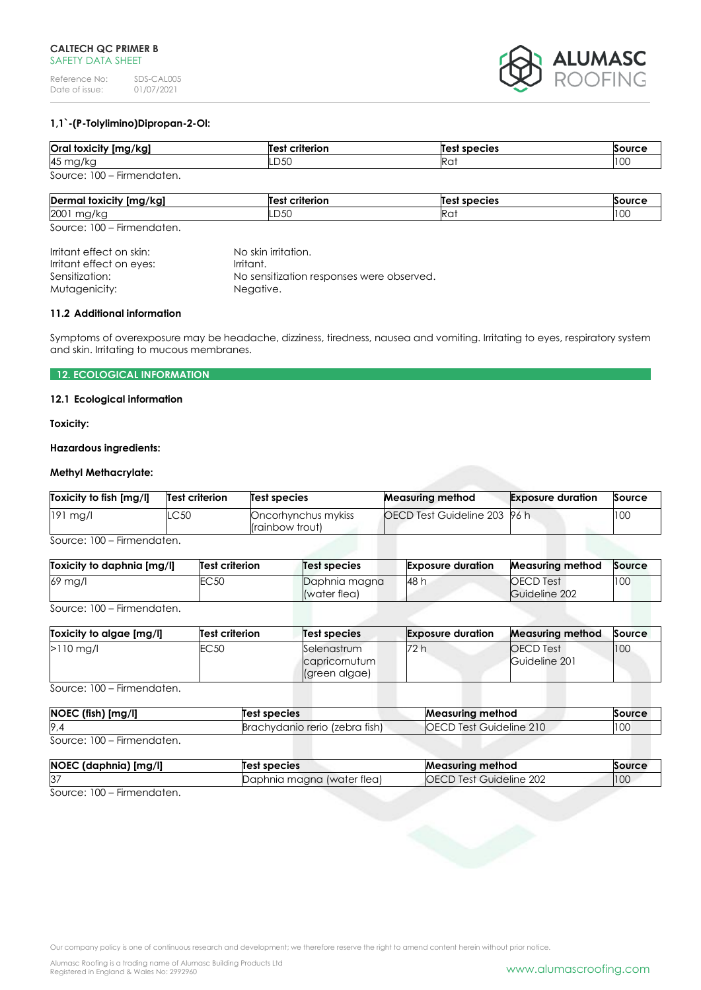

# **1,1`-(P-Tolylimino)Dipropan-2-Ol:**

| Oral toxicity [mg/kg]      | <b>Test criterion</b> | Test species | Source |
|----------------------------|-----------------------|--------------|--------|
| 45 mg/kg                   | LD50                  | Rai          | 100    |
| Source: 100 - Firmendaten. |                       |              |        |

| $\cdot$ .<br>$\bullet$<br>Derma<br>toxicity [mg/kg] | --------<br>rıı | species<br>Те   | $\sim$        |
|-----------------------------------------------------|-----------------|-----------------|---------------|
| 2001<br>∽<br>$1.97 \, \text{N}$                     | n ra<br>LUJU    | Ra <sup>.</sup> | $\sim$<br>ט ו |

Source: 100 – Firmendaten.

Irritant effect on skin: No skin irritation.<br>Irritant effect on eyes: Irritant. Irritant effect on eyes: Sensitization: No sensitization responses were observed. Mutagenicity: Negative.

#### **11.2 Additional information**

Symptoms of overexposure may be headache, dizziness, tiredness, nausea and vomiting. Irritating to eyes, respiratory system and skin. Irritating to mucous membranes.

# **12. ECOLOGICAL INFORMATION**

# **12.1 Ecological information**

**Toxicity:**

## **Hazardous ingredients:**

# **Methyl Methacrylate:**

| OECD Test Guideline 203 96 h<br>100<br>$191$ mg/l<br>.C50<br>Oncorhynchus mykiss | Toxicity to fish [mg/l] | Test criterion | Test species    | <b>Measuring method</b> | <b>Exposure duration</b> | Source |
|----------------------------------------------------------------------------------|-------------------------|----------------|-----------------|-------------------------|--------------------------|--------|
|                                                                                  |                         |                | (rainbow trout) |                         |                          |        |

Source: 100 – Firmendaten.

|                                                                  | <b>Exposure duration</b><br><b>Measuring method</b><br>Source |
|------------------------------------------------------------------|---------------------------------------------------------------|
| EC 50<br>69 mg/l<br><b>48 h</b><br>Daphnia magna<br>(water flea) | 100<br><b>OECD</b> Test<br>Guideline 202                      |

Source: 100 – Firmendaten.

| Toxicity to algae [mg/l] | Test criterion | Test species                                  | <b>Exposure duration</b> | <b>Measuring method</b>           | Source |
|--------------------------|----------------|-----------------------------------------------|--------------------------|-----------------------------------|--------|
| $>110$ mg/l              | EC50           | Selenastrum<br>capricornutum<br>(green algae) | 72 h                     | <b>OECD</b> Test<br>Guideline 201 | 100    |

Source: 100 – Firmendaten.

| NOEC (fish) [mg/l]         | Test species                   | <b>Measuring method</b>        | Source |
|----------------------------|--------------------------------|--------------------------------|--------|
| 9,4                        | Brachydanio rerio (zebra fish) | <b>OECD Test Guideline 210</b> | 100    |
| Source: 100 – Firmendaten. |                                |                                |        |

| NOEC (daphnia) [mg/l] | Test species               | <b>Measuring method</b>                  | Source |
|-----------------------|----------------------------|------------------------------------------|--------|
| 37                    | Daphnia magna (water flea) | -202<br>Guideline<br>u lest <sup>r</sup> | 100    |

Source: 100 – Firmendaten.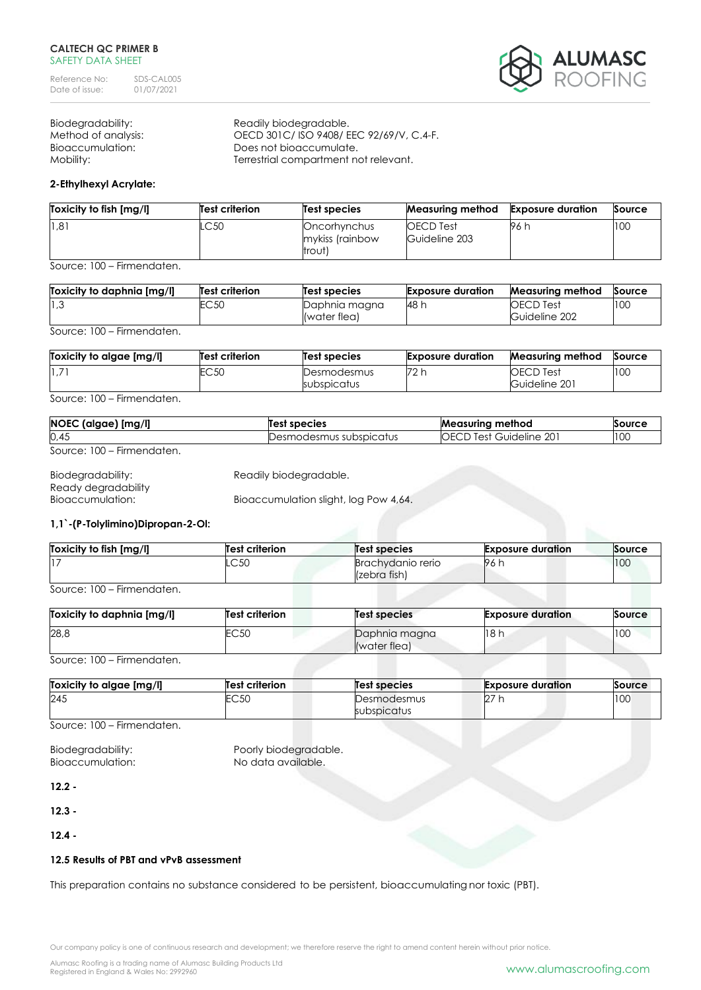**ALUMASC**<br>Roofing

Biodegradability: Readily biodegradable.

Method of analysis: OECD 301C/ ISO 9408/ EEC 92/69/V, C.4-F. Bioaccumulation: Does not bioaccumulate. Mobility: Terrestrial compartment not relevant.

# **2-Ethylhexyl Acrylate:**

| Toxicity to fish [mg/l] | Test criterion | Test species                              | Measuring method                  | <b>Exposure duration</b> | Source |
|-------------------------|----------------|-------------------------------------------|-----------------------------------|--------------------------|--------|
| 1,81                    | .C50           | Oncorhynchus<br>mykiss (rainbow<br>trout) | <b>OECD</b> Test<br>Guideline 203 | 96 h                     | 100    |

Source: 100 – Firmendaten.

| Toxicity to daphnia [mg/l] | Test criterion | Test species                  | <b>Exposure duration</b> | <b>Measuring method</b>           | Source |
|----------------------------|----------------|-------------------------------|--------------------------|-----------------------------------|--------|
| 3، ا∣                      | EC 50          | Daphnia magna<br>(water flea) | 48 h                     | <b>OECD</b> Test<br>Guideline 202 | 10C    |

Source: 100 – Firmendaten.

| Toxicity to algae [mg/l] | Test criterion | Test species               | <b>Exposure duration</b> | <b>Measuring method</b>           | Source |
|--------------------------|----------------|----------------------------|--------------------------|-----------------------------------|--------|
| 1,7                      | EC 50          | Desmodesmus<br>subspicatus | 72 h                     | <b>OECD</b> Test<br>Guideline 201 | 100    |

Source: 100 – Firmendaten.

| NOEC (algae) [mg/l]        | līest species           | <b>Measuring method</b> | Source |
|----------------------------|-------------------------|-------------------------|--------|
| 0,45                       | Desmodesmus subspicatus | OECD Test Guideline 201 | 100    |
| Source: 100 – Firmendaten. |                         |                         |        |

| Biodegradability:   | Readily biodegradable.                |
|---------------------|---------------------------------------|
| Ready degradability |                                       |
| Bioaccumulation:    | Bioaccumulation slight, log Pow 4,64. |

# **1,1`-(P-Tolylimino)Dipropan-2-Ol:**

| Toxicity to fish [mg/l] | <b>Test criterion</b> | <b>Test species</b>               | <b>Exposure duration</b> | Source |
|-------------------------|-----------------------|-----------------------------------|--------------------------|--------|
|                         | LC50                  | Brachvdanio rerio<br>(zebra fish) | . 96 F.                  | 100    |

Source: 100 – Firmendaten.

| Toxicity to daphnia [mg/l] | <b>Test criterion</b> | <b>Test species</b>           | <b>Exposure duration</b> | Source |
|----------------------------|-----------------------|-------------------------------|--------------------------|--------|
| 28,8                       | EC <sub>50</sub>      | Daphnia magna<br>(water flea) | 18h                      | 100    |

Source: 100 – Firmendaten.

| Toxicity to algae [mg/l] | <b>Test criterion</b> | Test species | <b>Exposure duration</b> | Source |
|--------------------------|-----------------------|--------------|--------------------------|--------|
| 245                      | EC50                  | Desmodesmus  | $\sim$                   | 10C    |
|                          |                       | subspicatus  |                          |        |

Source: 100 – Firmendaten.

Bioaccumulation: No data available.

Biodegradability: Poorly biodegradable.

**12.2 -**

**12.3 -**

**12.4 -**

# **12.5 Results of PBT and vPvB assessment**

This preparation contains no substance considered to be persistent, bioaccumulating nor toxic (PBT).

Our company policy is one of continuous research and development; we therefore reserve the right to amend content herein without prior notice.

Alumasc Roofing is a trading name of Alumasc Building Products Ltd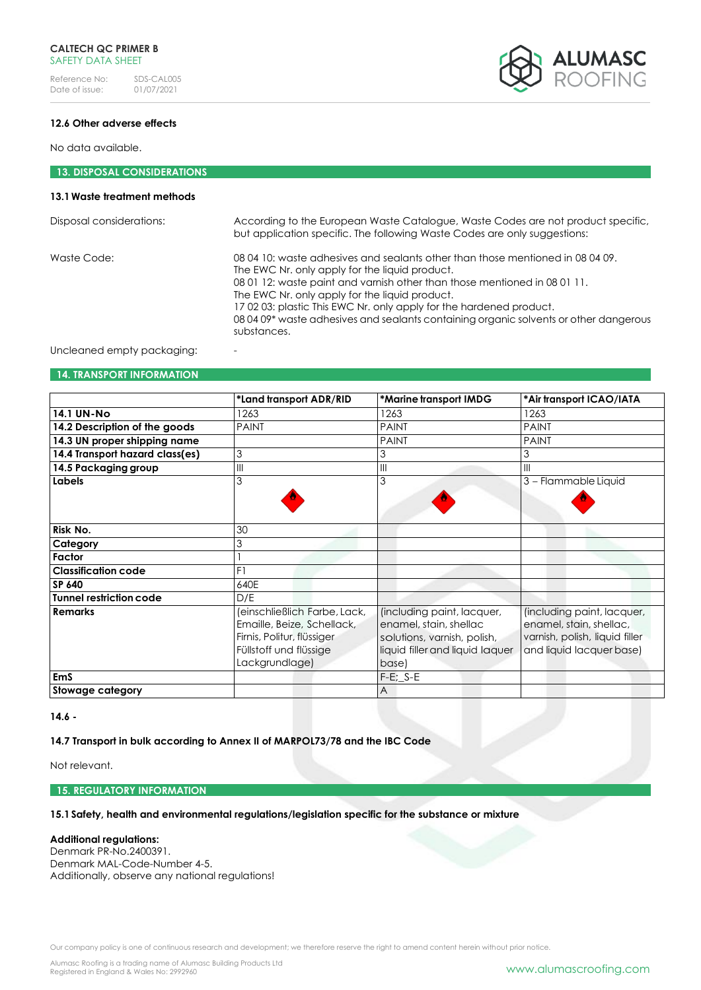

# **12.6 Other adverse effects**

No data available.

# **13. DISPOSAL CONSIDERATIONS**

# **13.1Waste treatment methods**

| Disposal considerations: | According to the European Waste Catalogue, Waste Codes are not product specific,<br>but application specific. The following Waste Codes are only suggestions:                                                                                                                                                                                                                                                                                |
|--------------------------|----------------------------------------------------------------------------------------------------------------------------------------------------------------------------------------------------------------------------------------------------------------------------------------------------------------------------------------------------------------------------------------------------------------------------------------------|
| Waste Code:              | 08 04 10: waste adhesives and sealants other than those mentioned in 08 04 09.<br>The EWC Nr. only apply for the liquid product.<br>08 01 12: waste paint and varnish other than those mentioned in 08 01 11.<br>The EWC Nr. only apply for the liquid product.<br>170203: plastic This EWC Nr. only apply for the hardened product.<br>08 04 09* waste adhesives and sealants containing organic solvents or other dangerous<br>substances. |
|                          |                                                                                                                                                                                                                                                                                                                                                                                                                                              |

Uncleaned empty packaging:

# **14. TRANSPORT INFORMATION**

|                                 | *Land transport ADR/RID      | *Marine transport IMDG          | *Air transport ICAO/IATA       |
|---------------------------------|------------------------------|---------------------------------|--------------------------------|
| <b>14.1 UN-No</b>               | 1263                         | 1263                            | 1263                           |
| 14.2 Description of the goods   | <b>PAINT</b>                 | <b>PAINT</b>                    | <b>PAINT</b>                   |
| 14.3 UN proper shipping name    |                              | <b>PAINT</b>                    | <b>PAINT</b>                   |
| 14.4 Transport hazard class(es) | 3                            | 3                               |                                |
| 14.5 Packaging group            | Ш                            | $\mathsf{III}$                  | Ш                              |
| Labels                          | 3                            | 3                               | 3 - Flammable Liquid           |
|                                 |                              |                                 |                                |
|                                 |                              |                                 |                                |
| Risk No.                        | 30                           |                                 |                                |
| Category                        | 3                            |                                 |                                |
| Factor                          |                              |                                 |                                |
| <b>Classification code</b>      | F1                           |                                 |                                |
| SP 640                          | 640E                         |                                 |                                |
| <b>Tunnel restriction code</b>  | D/E                          |                                 |                                |
| <b>Remarks</b>                  | (einschließlich Farbe, Lack, | (including paint, lacquer,      | (including paint, lacquer,     |
|                                 | Emaille, Beize, Schellack,   | enamel, stain, shellac          | enamel, stain, shellac,        |
|                                 | Firnis, Politur, flüssiger   | solutions, varnish, polish,     | varnish, polish, liquid filler |
|                                 | Füllstoff und flüssige       | liquid filler and liquid laquer | and liquid lacquer base)       |
|                                 | Lackgrundlage)               | base)                           |                                |
| <b>EmS</b>                      |                              | $F-E$ ; $S-E$                   |                                |
| Stowage category                |                              | A                               |                                |

**14.6 -**

# **14.7 Transport in bulk according to Annex II of MARPOL73/78 and the IBC Code**

Not relevant.

# **15. REGULATORY INFORMATION**

## **15.1Safety, health and environmental regulations/legislation specific for the substance or mixture**

## **Additional regulations:**

Denmark PR-No.2400391. Denmark MAL-Code-Number 4-5. Additionally, observe any national regulations!